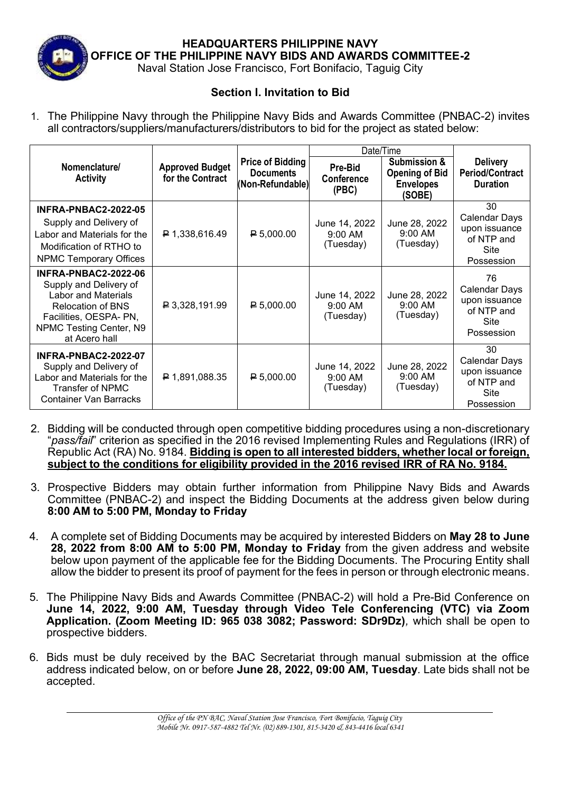

**HEADQUARTERS PHILIPPINE NAVY OFFICE OF THE PHILIPPINE NAVY BIDS AND AWARDS COMMITTEE-2**

Naval Station Jose Francisco, Fort Bonifacio, Taguig City

## **Section I. Invitation to Bid**

1. The Philippine Navy through the Philippine Navy Bids and Awards Committee (PNBAC-2) invites all contractors/suppliers/manufacturers/distributors to bid for the project as stated below:

|                                                                                                                                                                                |                                            |                                                                 | Date/Time                                         |                                                                     |                                                                          |
|--------------------------------------------------------------------------------------------------------------------------------------------------------------------------------|--------------------------------------------|-----------------------------------------------------------------|---------------------------------------------------|---------------------------------------------------------------------|--------------------------------------------------------------------------|
| Nomenclature/<br><b>Activity</b>                                                                                                                                               | <b>Approved Budget</b><br>for the Contract | <b>Price of Bidding</b><br><b>Documents</b><br>(Non-Refundable) | Pre-Bid<br><b>Conference</b><br>(PBC)             | Submission &<br><b>Opening of Bid</b><br><b>Envelopes</b><br>(SOBE) | <b>Delivery</b><br><b>Period/Contract</b><br><b>Duration</b>             |
| <b>INFRA-PNBAC2-2022-05</b><br>Supply and Delivery of<br>Labor and Materials for the<br>Modification of RTHO to<br><b>NPMC Temporary Offices</b>                               | ₽ 1,338,616.49                             | P 5,000.00                                                      | June 14, 2022<br>$9:00 \, \text{AM}$<br>(Tuesday) | June 28, 2022<br>9:00 AM<br>(Tuesday)                               | 30<br>Calendar Days<br>upon issuance<br>of NTP and<br>Site<br>Possession |
| <b>INFRA-PNBAC2-2022-06</b><br>Supply and Delivery of<br>Labor and Materials<br><b>Relocation of BNS</b><br>Facilities, OESPA- PN,<br>NPMC Testing Center, N9<br>at Acero hall | ₽ 3,328,191.99                             | P 5,000.00                                                      | June 14, 2022<br>$9:00 \, \text{AM}$<br>(Tuesday) | June 28, 2022<br>$9:00 \, \text{AM}$<br>(Tuesday)                   | 76<br>Calendar Days<br>upon issuance<br>of NTP and<br>Site<br>Possession |
| <b>INFRA-PNBAC2-2022-07</b><br>Supply and Delivery of<br>Labor and Materials for the<br>Transfer of NPMC<br><b>Container Van Barracks</b>                                      | $\uparrow$ 1,891,088.35                    | $\mathsf{P}5,000.00$                                            | June 14, 2022<br>$9:00 \, \text{AM}$<br>(Tuesday) | June 28, 2022<br>9:00 AM<br>(Tuesday)                               | 30<br>Calendar Days<br>upon issuance<br>of NTP and<br>Site<br>Possession |

- 2. Bidding will be conducted through open competitive bidding procedures using a non-discretionary "*pass/fail*" criterion as specified in the 2016 revised Implementing Rules and Regulations (IRR) of Republic Act (RA) No. 9184. **Bidding is open to all interested bidders, whether local or foreign, subject to the conditions for eligibility provided in the 2016 revised IRR of RA No. 9184.**
- 3. Prospective Bidders may obtain further information from Philippine Navy Bids and Awards Committee (PNBAC-2) and inspect the Bidding Documents at the address given below during **8:00 AM to 5:00 PM, Monday to Friday**
- 4. A complete set of Bidding Documents may be acquired by interested Bidders on **May 28 to June 28, 2022 from 8:00 AM to 5:00 PM, Monday to Friday** from the given address and website below upon payment of the applicable fee for the Bidding Documents. The Procuring Entity shall allow the bidder to present its proof of payment for the fees in person or through electronic means.
- 5. The Philippine Navy Bids and Awards Committee (PNBAC-2) will hold a Pre-Bid Conference on **June 14, 2022, 9:00 AM, Tuesday through Video Tele Conferencing (VTC) via Zoom Application. (Zoom Meeting ID: 965 038 3082; Password: SDr9Dz)***,* which shall be open to prospective bidders.
- 6. Bids must be duly received by the BAC Secretariat through manual submission at the office address indicated below, on or before **June 28, 2022, 09:00 AM, Tuesday***.* Late bids shall not be accepted.